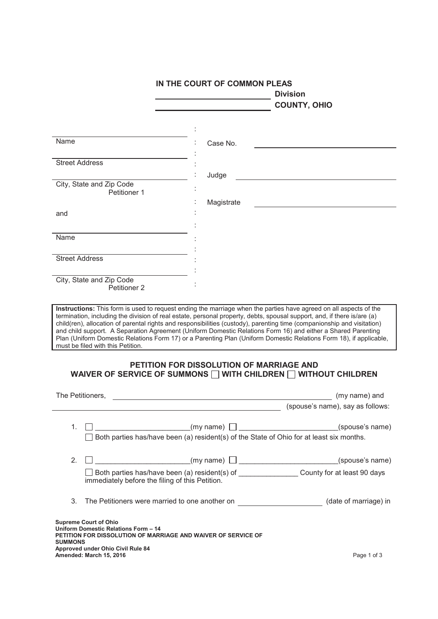|                                                                                                                                                 | <b>Division</b>                                                                                                                                                                                                                    | IN THE COURT OF COMMON PLEAS                                                                                            |  |
|-------------------------------------------------------------------------------------------------------------------------------------------------|------------------------------------------------------------------------------------------------------------------------------------------------------------------------------------------------------------------------------------|-------------------------------------------------------------------------------------------------------------------------|--|
|                                                                                                                                                 | <b>COUNTY, OHIO</b>                                                                                                                                                                                                                |                                                                                                                         |  |
|                                                                                                                                                 |                                                                                                                                                                                                                                    |                                                                                                                         |  |
| Name                                                                                                                                            | Case No.                                                                                                                                                                                                                           |                                                                                                                         |  |
| <b>Street Address</b>                                                                                                                           |                                                                                                                                                                                                                                    |                                                                                                                         |  |
|                                                                                                                                                 | Judge<br><u> 1989 - Johann Barbara, martxa alemaniar amerikan a</u>                                                                                                                                                                |                                                                                                                         |  |
| City, State and Zip Code<br>Petitioner 1                                                                                                        |                                                                                                                                                                                                                                    |                                                                                                                         |  |
|                                                                                                                                                 | Magistrate<br><u> 1989 - Johann John Stein, mars an deus Amerikaansk kommunister (</u>                                                                                                                                             |                                                                                                                         |  |
| and                                                                                                                                             |                                                                                                                                                                                                                                    |                                                                                                                         |  |
|                                                                                                                                                 |                                                                                                                                                                                                                                    |                                                                                                                         |  |
| Name                                                                                                                                            |                                                                                                                                                                                                                                    |                                                                                                                         |  |
|                                                                                                                                                 |                                                                                                                                                                                                                                    |                                                                                                                         |  |
| <b>Street Address</b>                                                                                                                           |                                                                                                                                                                                                                                    |                                                                                                                         |  |
|                                                                                                                                                 |                                                                                                                                                                                                                                    |                                                                                                                         |  |
| City, State and Zip Code<br>Petitioner 2                                                                                                        |                                                                                                                                                                                                                                    |                                                                                                                         |  |
|                                                                                                                                                 |                                                                                                                                                                                                                                    |                                                                                                                         |  |
|                                                                                                                                                 | and child support. A Separation Agreement (Uniform Domestic Relations Form 16) and either a Shared Parenting<br>Plan (Uniform Domestic Relations Form 17) or a Parenting Plan (Uniform Domestic Relations Form 18), if applicable, | child(ren), allocation of parental rights and responsibilities (custody), parenting time (companionship and visitation) |  |
|                                                                                                                                                 | PETITION FOR DISSOLUTION OF MARRIAGE AND<br>WAIVER OF SERVICE OF SUMMONS $\Box$ WITH CHILDREN $\Box$ WITHOUT CHILDREN                                                                                                              |                                                                                                                         |  |
|                                                                                                                                                 |                                                                                                                                                                                                                                    |                                                                                                                         |  |
|                                                                                                                                                 |                                                                                                                                                                                                                                    | (my name) and                                                                                                           |  |
|                                                                                                                                                 |                                                                                                                                                                                                                                    | (spouse's name), say as follows:                                                                                        |  |
| 1.                                                                                                                                              |                                                                                                                                                                                                                                    |                                                                                                                         |  |
|                                                                                                                                                 | Both parties has/have been (a) resident(s) of the State of Ohio for at least six months.                                                                                                                                           |                                                                                                                         |  |
|                                                                                                                                                 |                                                                                                                                                                                                                                    |                                                                                                                         |  |
| 2.                                                                                                                                              |                                                                                                                                                                                                                                    |                                                                                                                         |  |
|                                                                                                                                                 |                                                                                                                                                                                                                                    |                                                                                                                         |  |
| immediately before the filing of this Petition.                                                                                                 | $\Box$ Both parties has/have been (a) resident(s) of _________________County for at least 90 days                                                                                                                                  |                                                                                                                         |  |
| must be filed with this Petition.<br>The Petitioners,<br>3.                                                                                     | The Petitioners were married to one another on _______________________(date of marriage) in                                                                                                                                        |                                                                                                                         |  |
|                                                                                                                                                 |                                                                                                                                                                                                                                    |                                                                                                                         |  |
| <b>Supreme Court of Ohio</b><br>Uniform Domestic Relations Form - 14                                                                            |                                                                                                                                                                                                                                    |                                                                                                                         |  |
|                                                                                                                                                 |                                                                                                                                                                                                                                    |                                                                                                                         |  |
| PETITION FOR DISSOLUTION OF MARRIAGE AND WAIVER OF SERVICE OF<br><b>SUMMONS</b><br>Approved under Ohio Civil Rule 84<br>Amended: March 15, 2016 |                                                                                                                                                                                                                                    | Page 1 of 3                                                                                                             |  |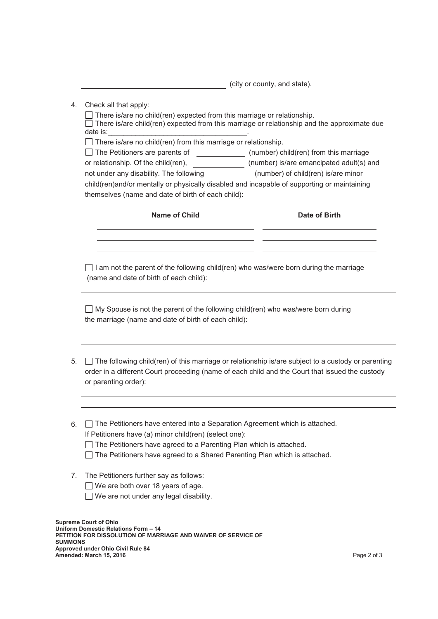**EXECUTE:** (city or county, and state).

4. Check all that apply:

There is/are no child(ren) expected from this marriage or relationship. There is/are child(ren) expected from this marriage or relationship and the approximate due date is:\_\_\_\_\_\_\_\_\_\_\_\_\_\_\_\_\_\_\_\_\_\_\_\_\_\_\_\_\_\_\_\_\_\_\_.  $\Box$  There is/are no child(ren) from this marriage or relationship. □ The Petitioners are parents of \_\_\_\_\_\_\_\_\_\_\_\_\_\_ (number) child(ren) from this marriage or relationship. Of the child(ren), \_\_\_\_\_\_\_\_\_\_\_\_\_\_\_ (number) is/are emancipated adult(s) and not under any disability. The following (number) of child(ren) is/are minor child(ren)and/or mentally or physically disabled and incapable of supporting or maintaining themselves (name and date of birth of each child): **Name of Child Date of Birth**  $\Box$  I am not the parent of the following child(ren) who was/were born during the marriage (name and date of birth of each child):  $\Box$  My Spouse is not the parent of the following child(ren) who was/were born during the marriage (name and date of birth of each child):

- 5.  $\Box$  The following child(ren) of this marriage or relationship is/are subject to a custody or parenting order in a different Court proceeding (name of each child and the Court that issued the custody or parenting order):  $\qquad \qquad \qquad$
- 6. The Petitioners have entered into a Separation Agreement which is attached. If Petitioners have (a) minor child(ren) (select one):
	- $\Box$  The Petitioners have agreed to a Parenting Plan which is attached.
	- $\Box$  The Petitioners have agreed to a Shared Parenting Plan which is attached.
- 7. The Petitioners further say as follows:
	- $\Box$  We are both over 18 years of age.
	- $\Box$  We are not under any legal disability.

**Supreme Court of Ohio Uniform Domestic Relations Form – 14 PETITION FOR DISSOLUTION OF MARRIAGE AND WAIVER OF SERVICE OF SUMMONS Approved under Ohio Civil Rule 84 Amended: March 15, 2016** Page 2 of 3